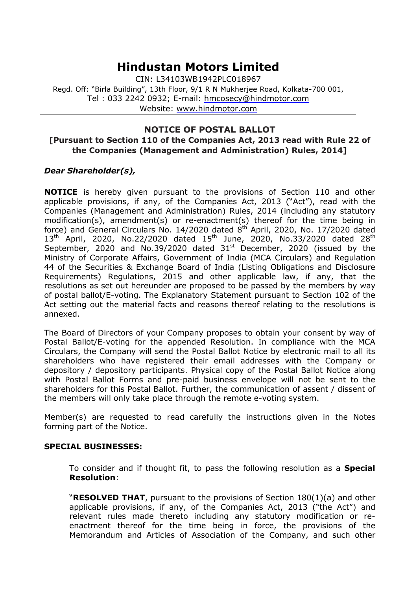# **Hindustan Motors Limited**

CIN: L34103WB1942PLC018967 Regd. Off: "Birla Building", 13th Floor, 9/1 R N Mukherjee Road, Kolkata-700 001, Tel : 033 2242 0932; E-mail: [hmcosecy@hindmotor.com](mailto:hmcosecy@hindmotor.com) Website: [www.hindmotor.com](http://www.hindmotor.com/)

## **NOTICE OF POSTAL BALLOT**

## **[Pursuant to Section 110 of the Companies Act, 2013 read with Rule 22 of the Companies (Management and Administration) Rules, 2014]**

## *Dear Shareholder(s),*

**NOTICE** is hereby given pursuant to the provisions of Section 110 and other applicable provisions, if any, of the Companies Act, 2013 ("Act"), read with the Companies (Management and Administration) Rules, 2014 (including any statutory modification(s), amendment(s) or re-enactment(s) thereof for the time being in force) and General Circulars No. 14/2020 dated 8<sup>th</sup> April, 2020, No. 17/2020 dated  $13^{th}$  April, 2020, No.22/2020 dated  $15^{th}$  June, 2020, No.33/2020 dated 28<sup>th</sup> September, 2020 and No.39/2020 dated 31st December, 2020 (issued by the Ministry of Corporate Affairs, Government of India (MCA Circulars) and Regulation 44 of the Securities & Exchange Board of India (Listing Obligations and Disclosure Requirements) Regulations, 2015 and other applicable law, if any, that the resolutions as set out hereunder are proposed to be passed by the members by way of postal ballot/E-voting. The Explanatory Statement pursuant to Section 102 of the Act setting out the material facts and reasons thereof relating to the resolutions is annexed.

The Board of Directors of your Company proposes to obtain your consent by way of Postal Ballot/E-voting for the appended Resolution. In compliance with the MCA Circulars, the Company will send the Postal Ballot Notice by electronic mail to all its shareholders who have registered their email addresses with the Company or depository / depository participants. Physical copy of the Postal Ballot Notice along with Postal Ballot Forms and pre-paid business envelope will not be sent to the shareholders for this Postal Ballot. Further, the communication of assent / dissent of the members will only take place through the remote e-voting system.

Member(s) are requested to read carefully the instructions given in the Notes forming part of the Notice.

### **SPECIAL BUSINESSES:**

To consider and if thought fit, to pass the following resolution as a **Special Resolution**:

"**RESOLVED THAT**, pursuant to the provisions of Section 180(1)(a) and other applicable provisions, if any, of the Companies Act, 2013 ("the Act") and relevant rules made thereto including any statutory modification or reenactment thereof for the time being in force, the provisions of the Memorandum and Articles of Association of the Company, and such other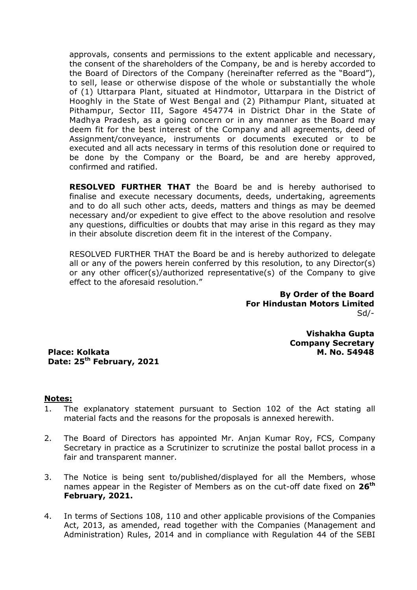approvals, consents and permissions to the extent applicable and necessary, the consent of the shareholders of the Company, be and is hereby accorded to the Board of Directors of the Company (hereinafter referred as the "Board"), to sell, lease or otherwise dispose of the whole or substantially the whole of (1) Uttarpara Plant, situated at Hindmotor, Uttarpara in the District of Hooghly in the State of West Bengal and (2) Pithampur Plant, situated at Pithampur, Sector III, Sagore 454774 in District Dhar in the State of Madhya Pradesh, as a going concern or in any manner as the Board may deem fit for the best interest of the Company and all agreements, deed of Assignment/conveyance, instruments or documents executed or to be executed and all acts necessary in terms of this resolution done or required to be done by the Company or the Board, be and are hereby approved, confirmed and ratified.

**RESOLVED FURTHER THAT** the Board be and is hereby authorised to finalise and execute necessary documents, deeds, undertaking, agreements and to do all such other acts, deeds, matters and things as may be deemed necessary and/or expedient to give effect to the above resolution and resolve any questions, difficulties or doubts that may arise in this regard as they may in their absolute discretion deem fit in the interest of the Company.

RESOLVED FURTHER THAT the Board be and is hereby authorized to delegate all or any of the powers herein conferred by this resolution, to any Director(s) or any other officer(s)/authorized representative(s) of the Company to give effect to the aforesaid resolution."

> **By Order of the Board For Hindustan Motors Limited** Sd/-

> > **Vishakha Gupta Company Secretary M. No. 54948**

**Place: Kolkata Date: 25th February, 2021**

### **Notes:**

- 1. The explanatory statement pursuant to Section 102 of the Act stating all material facts and the reasons for the proposals is annexed herewith.
- 2. The Board of Directors has appointed Mr. Anjan Kumar Roy, FCS, Company Secretary in practice as a Scrutinizer to scrutinize the postal ballot process in a fair and transparent manner.
- 3. The Notice is being sent to/published/displayed for all the Members, whose names appear in the Register of Members as on the cut-off date fixed on **26th February, 2021.**
- 4. In terms of Sections 108, 110 and other applicable provisions of the Companies Act, 2013, as amended, read together with the Companies (Management and Administration) Rules, 2014 and in compliance with Regulation 44 of the SEBI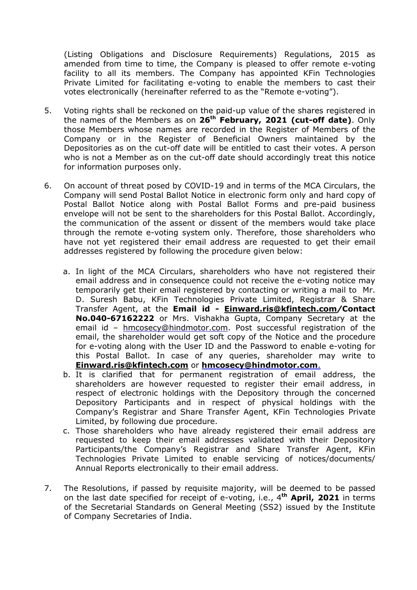(Listing Obligations and Disclosure Requirements) Regulations, 2015 as amended from time to time, the Company is pleased to offer remote e-voting facility to all its members. The Company has appointed KFin Technologies Private Limited for facilitating e-voting to enable the members to cast their votes electronically (hereinafter referred to as the "Remote e-voting").

- 5. Voting rights shall be reckoned on the paid-up value of the shares registered in the names of the Members as on **26th February, 2021 (cut-off date)**. Only those Members whose names are recorded in the Register of Members of the Company or in the Register of Beneficial Owners maintained by the Depositories as on the cut-off date will be entitled to cast their votes. A person who is not a Member as on the cut-off date should accordingly treat this notice for information purposes only.
- 6. On account of threat posed by COVID-19 and in terms of the MCA Circulars, the Company will send Postal Ballot Notice in electronic form only and hard copy of Postal Ballot Notice along with Postal Ballot Forms and pre-paid business envelope will not be sent to the shareholders for this Postal Ballot. Accordingly, the communication of the assent or dissent of the members would take place through the remote e-voting system only. Therefore, those shareholders who have not yet registered their email address are requested to get their email addresses registered by following the procedure given below:
	- a. In light of the MCA Circulars, shareholders who have not registered their email address and in consequence could not receive the e-voting notice may temporarily get their email registered by contacting or writing a mail to Mr. D. Suresh Babu, KFin Technologies Private Limited, Registrar & Share Transfer Agent, at the **Email id - [Einward.ris@kfintech.com](mailto:Einward.ris@kfintech.com)***/***Contact No.040-67162222** or Mrs. Vishakha Gupta, Company Secretary at the email id – [hmcosecy@hindmotor.com.](mailto:hmcosecy@hindmotor.com) Post successful registration of the email, the shareholder would get soft copy of the Notice and the procedure for e-voting along with the User ID and the Password to enable e-voting for this Postal Ballot. In case of any queries, shareholder may write to **[Einward.ris@kfintech.com](mailto:Einward.ris@kfintech.com)** or **[hmcosecy@hindmotor.com](mailto:hmcosecy@hindmotor.com.)**.
	- b. It is clarified that for permanent registration of email address, the shareholders are however requested to register their email address, in respect of electronic holdings with the Depository through the concerned Depository Participants and in respect of physical holdings with the Company's Registrar and Share Transfer Agent, KFin Technologies Private Limited, by following due procedure.
	- c. Those shareholders who have already registered their email address are requested to keep their email addresses validated with their Depository Participants/the Company's Registrar and Share Transfer Agent, KFin Technologies Private Limited to enable servicing of notices/documents/ Annual Reports electronically to their email address.
- 7. The Resolutions, if passed by requisite majority, will be deemed to be passed on the last date specified for receipt of e-voting, i.e., 4 **th April, 2021** in terms of the Secretarial Standards on General Meeting (SS2) issued by the Institute of Company Secretaries of India.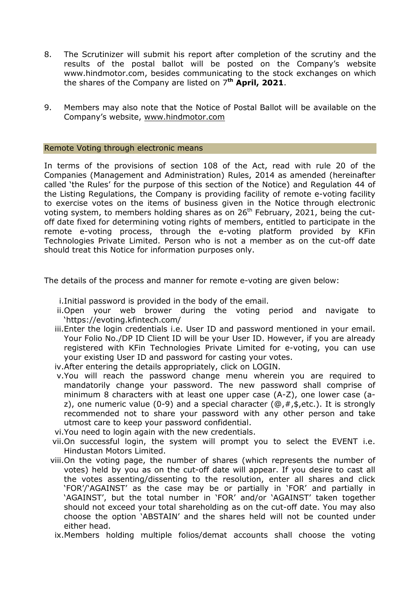- 8. The Scrutinizer will submit his report after completion of the scrutiny and the results of the postal ballot will be posted on the Company's website www.hindmotor.com, besides communicating to the stock exchanges on which the shares of the Company are listed on 7 **th April, 2021**.
- 9. Members may also note that the Notice of Postal Ballot will be available on the Company's website, [www.hindmotor.com](http://www.hindmotor.com/)

#### Remote Voting through electronic means

In terms of the provisions of section 108 of the Act, read with rule 20 of the Companies (Management and Administration) Rules, 2014 as amended (hereinafter called 'the Rules' for the purpose of this section of the Notice) and Regulation 44 of the Listing Regulations, the Company is providing facility of remote e-voting facility to exercise votes on the items of business given in the Notice through electronic voting system, to members holding shares as on 26<sup>th</sup> February, 2021, being the cutoff date fixed for determining voting rights of members, entitled to participate in the remote e-voting process, through the e-voting platform provided by KFin Technologies Private Limited. Person who is not a member as on the cut-off date should treat this Notice for information purposes only.

The details of the process and manner for remote e-voting are given below:

- i.Initial password is provided in the body of the email.
- ii.Open your web brower during the voting period and navigate to 'https://evoting.kfintech.com/
- iii.Enter the login credentials i.e. User ID and password mentioned in your email. Your Folio No./DP ID Client ID will be your User ID. However, if you are already registered with KFin Technologies Private Limited for e-voting, you can use your existing User ID and password for casting your votes.
- iv.After entering the details appropriately, click on LOGIN.
- v.You will reach the password change menu wherein you are required to mandatorily change your password. The new password shall comprise of minimum 8 characters with at least one upper case (A-Z), one lower case (az), one numeric value (0-9) and a special character ( $\mathcal{Q}, \#$ , \$, etc.). It is strongly recommended not to share your password with any other person and take utmost care to keep your password confidential.
- vi.You need to login again with the new credentials.
- vii.On successful login, the system will prompt you to select the EVENT i.e. Hindustan Motors Limited.
- viii.On the voting page, the number of shares (which represents the number of votes) held by you as on the cut-off date will appear. If you desire to cast all the votes assenting/dissenting to the resolution, enter all shares and click 'FOR'/'AGAINST' as the case may be or partially in 'FOR' and partially in 'AGAINST', but the total number in 'FOR' and/or 'AGAINST' taken together should not exceed your total shareholding as on the cut-off date. You may also choose the option 'ABSTAIN' and the shares held will not be counted under either head.

ix.Members holding multiple folios/demat accounts shall choose the voting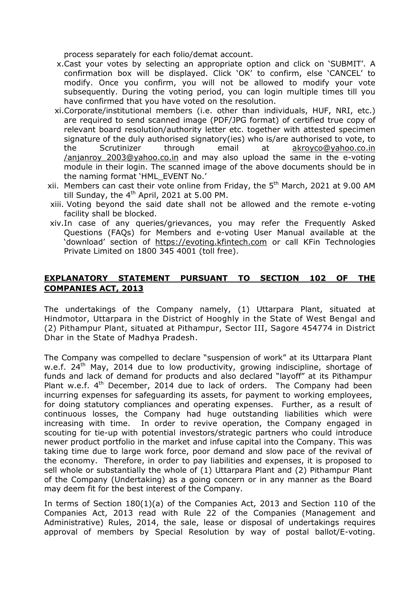process separately for each folio/demat account.

- x.Cast your votes by selecting an appropriate option and click on 'SUBMIT'. A confirmation box will be displayed. Click 'OK' to confirm, else 'CANCEL' to modify. Once you confirm, you will not be allowed to modify your vote subsequently. During the voting period, you can login multiple times till you have confirmed that you have voted on the resolution.
- xi.Corporate/institutional members (i.e. other than individuals, HUF, NRI, etc.) are required to send scanned image (PDF/JPG format) of certified true copy of relevant board resolution/authority letter etc. together with attested specimen signature of the duly authorised signatory(ies) who is/are authorised to vote, to the Scrutinizer through email at [akroyco@yahoo.co.in](mailto:akroyco@yahoo.co.in%20/anjanroy_2003@yahoo.co.in) [/anjanroy\\_2003@yahoo.co.in](mailto:akroyco@yahoo.co.in%20/anjanroy_2003@yahoo.co.in) and may also upload the same in the e-voting module in their login. The scanned image of the above documents should be in the naming format 'HML\_EVENT No.'
- xii. Members can cast their vote online from Friday, the 5<sup>th</sup> March, 2021 at 9.00 AM till Sunday, the 4<sup>th</sup> April, 2021 at 5.00 PM.
- xiii. Voting beyond the said date shall not be allowed and the remote e-voting facility shall be blocked.
- xiv.In case of any queries/grievances, you may refer the Frequently Asked Questions (FAQs) for Members and e-voting User Manual available at the 'download' section of [https://evoting.kfintech.com](https://evoting.kfintech.com/) or call KFin Technologies Private Limited on 1800 345 4001 (toll free).

## **EXPLANATORY STATEMENT PURSUANT TO SECTION 102 OF THE COMPANIES ACT, 2013**

The undertakings of the Company namely, (1) Uttarpara Plant, situated at Hindmotor, Uttarpara in the District of Hooghly in the State of West Bengal and (2) Pithampur Plant, situated at Pithampur, Sector III, Sagore 454774 in District Dhar in the State of Madhya Pradesh.

The Company was compelled to declare "suspension of work" at its Uttarpara Plant w.e.f.  $24<sup>th</sup>$  May, 2014 due to low productivity, growing indiscipline, shortage of funds and lack of demand for products and also declared "layoff" at its Pithampur Plant w.e.f. 4<sup>th</sup> December, 2014 due to lack of orders. The Company had been incurring expenses for safeguarding its assets, for payment to working employees, for doing statutory compliances and operating expenses. Further, as a result of continuous losses, the Company had huge outstanding liabilities which were increasing with time. In order to revive operation, the Company engaged in scouting for tie-up with potential investors/strategic partners who could introduce newer product portfolio in the market and infuse capital into the Company. This was taking time due to large work force, poor demand and slow pace of the revival of the economy. Therefore, in order to pay liabilities and expenses, it is proposed to sell whole or substantially the whole of (1) Uttarpara Plant and (2) Pithampur Plant of the Company (Undertaking) as a going concern or in any manner as the Board may deem fit for the best interest of the Company.

In terms of Section 180(1)(a) of the Companies Act, 2013 and Section 110 of the Companies Act, 2013 read with Rule 22 of the Companies (Management and Administrative) Rules, 2014, the sale, lease or disposal of undertakings requires approval of members by Special Resolution by way of postal ballot/E-voting.